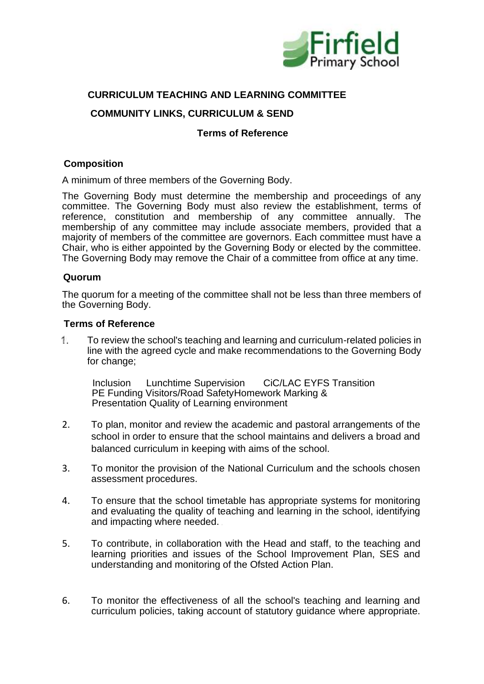

# **CURRICULUM TEACHING AND LEARNING COMMITTEE**

## **COMMUNITY LINKS, CURRICULUM & SEND**

#### **Terms of Reference**

### **Composition**

A minimum of three members of the Governing Body.

The Governing Body must determine the membership and proceedings of any committee. The Governing Body must also review the establishment, terms of reference, constitution and membership of any committee annually. The membership of any committee may include associate members, provided that a majority of members of the committee are governors. Each committee must have a Chair, who is either appointed by the Governing Body or elected by the committee. The Governing Body may remove the Chair of a committee from office at any time.

#### **Quorum**

The quorum for a meeting of the committee shall not be less than three members of the Governing Body.

#### **Terms of Reference**

1. To review the school's teaching and learning and curriculum-related policies in line with the agreed cycle and make recommendations to the Governing Body for change;

Inclusion Lunchtime Supervision CiC/LAC EYFS Transition PE Funding Visitors/Road SafetyHomework Marking & Presentation Quality of Learning environment

- 2. To plan, monitor and review the academic and pastoral arrangements of the school in order to ensure that the school maintains and delivers a broad and balanced curriculum in keeping with aims of the school.
- 3. To monitor the provision of the National Curriculum and the schools chosen assessment procedures.
- 4. To ensure that the school timetable has appropriate systems for monitoring and evaluating the quality of teaching and learning in the school, identifying and impacting where needed.
- 5. To contribute, in collaboration with the Head and staff, to the teaching and learning priorities and issues of the School Improvement Plan, SES and understanding and monitoring of the Ofsted Action Plan.
- 6. To monitor the effectiveness of all the school's teaching and learning and curriculum policies, taking account of statutory guidance where appropriate.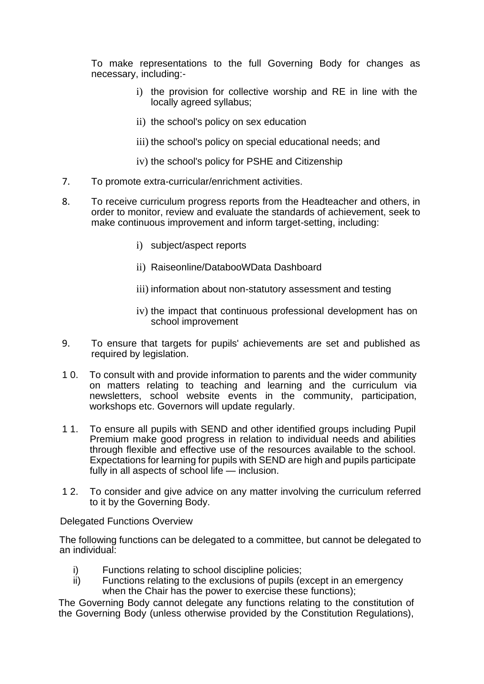To make representations to the full Governing Body for changes as necessary, including:-

- i) the provision for collective worship and RE in line with the locally agreed syllabus;
- ii) the school's policy on sex education
- iii) the school's policy on special educational needs; and
- iv) the school's policy for PSHE and Citizenship
- 7. To promote extra-curricular/enrichment activities.
- 8. To receive curriculum progress reports from the Headteacher and others, in order to monitor, review and evaluate the standards of achievement, seek to make continuous improvement and inform target-setting, including:
	- i) subject/aspect reports
	- ii) Raiseonline/DatabooWData Dashboard
	- iii) information about non-statutory assessment and testing
	- iv) the impact that continuous professional development has on school improvement
- 9. To ensure that targets for pupils' achievements are set and published as required by legislation.
- 1 0. To consult with and provide information to parents and the wider community on matters relating to teaching and learning and the curriculum via newsletters, school website events in the community, participation, workshops etc. Governors will update regularly.
- 1 1. To ensure all pupils with SEND and other identified groups including Pupil Premium make good progress in relation to individual needs and abilities through flexible and effective use of the resources available to the school. Expectations for learning for pupils with SEND are high and pupils participate fully in all aspects of school life — inclusion.
- 1 2. To consider and give advice on any matter involving the curriculum referred to it by the Governing Body.

#### Delegated Functions Overview

The following functions can be delegated to a committee, but cannot be delegated to an individual:

- i) Functions relating to school discipline policies;
- ii) Functions relating to the exclusions of pupils (except in an emergency when the Chair has the power to exercise these functions);

The Governing Body cannot delegate any functions relating to the constitution of the Governing Body (unless otherwise provided by the Constitution Regulations),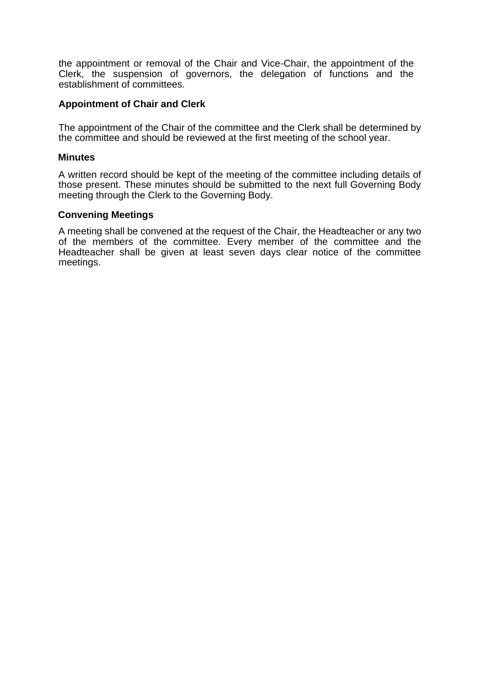the appointment or removal of the Chair and Vice-Chair, the appointment of the Clerk, the suspension of governors, the delegation of functions and the establishment of committees.

#### **Appointment of Chair and Clerk**

The appointment of the Chair of the committee and the Clerk shall be determined by the committee and should be reviewed at the first meeting of the school year.

#### **Minutes**

A written record should be kept of the meeting of the committee including details of those present. These minutes should be submitted to the next full Governing Body meeting through the Clerk to the Governing Body.

#### **Convening Meetings**

A meeting shall be convened at the request of the Chair, the Headteacher or any two of the members of the committee. Every member of the committee and the Headteacher shall be given at least seven days clear notice of the committee meetings.